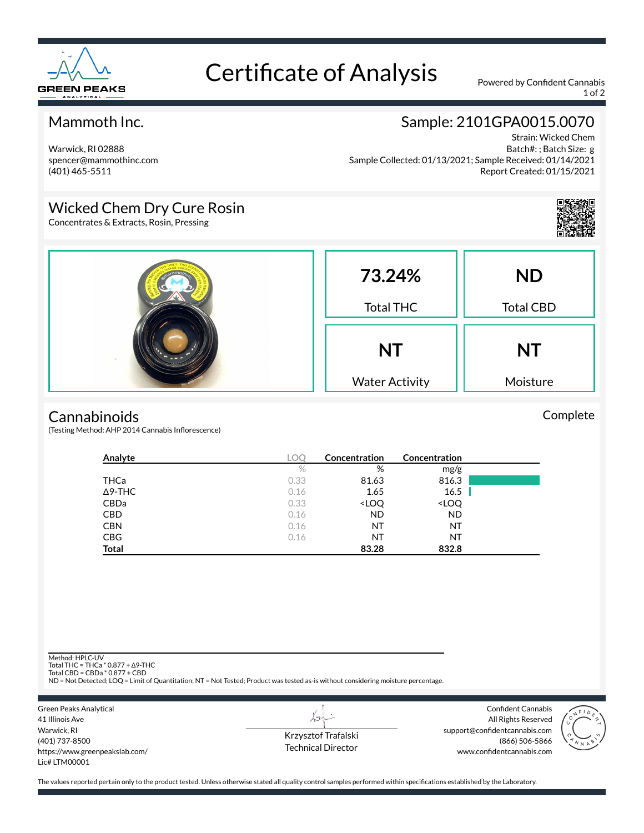

# Certificate of Analysis Powered by Confident Cannabis

1 of 2

### Mammoth Inc.

Warwick, RI 02888 spencer@mammothinc.com (401) 465-5511

## Sample: 2101GPA0015.0070

Strain: Wicked Chem Batch#: ; Batch Size: g Sample Collected: 01/13/2021; Sample Received: 01/14/2021 Report Created: 01/15/2021

## Wicked Chem Dry Cure Rosin

Concentrates & Extracts, Rosin, Pressing



Complete

| 73.24%<br><b>Total THC</b>         | <b>ND</b><br><b>Total CBD</b> |
|------------------------------------|-------------------------------|
| <b>NT</b><br><b>Water Activity</b> | <b>NT</b><br>Moisture         |

#### **Cannabinoids**

(Testing Method: AHP 2014 Cannabis Inflorescence)

| Analyte        | <b>LOC</b> | Concentration                                            | Concentration                |  |
|----------------|------------|----------------------------------------------------------|------------------------------|--|
|                | $\%$       | %                                                        | mg/g                         |  |
| THCa           | 0.33       | 81.63                                                    | 816.3                        |  |
| $\Delta$ 9-THC | 0.16       | 1.65                                                     | 16.5                         |  |
| <b>CBDa</b>    | 0.33       | <loq< td=""><td><loq< td=""><td></td></loq<></td></loq<> | <loq< td=""><td></td></loq<> |  |
| <b>CBD</b>     | 0.16       | <b>ND</b>                                                | <b>ND</b>                    |  |
| <b>CBN</b>     | 0.16       | NT                                                       | NT                           |  |
| <b>CBG</b>     | 0.16       | NT                                                       | NT                           |  |
| <b>Total</b>   |            | 83.28                                                    | 832.8                        |  |

Method: HPLC-UV

Total THC = THCa \* 0.877 + ∆9-THC Total CBD = CBDa \* 0.877 + CBD

ND = Not Detected; LOQ = Limit of Quantitation; NT = Not Tested; Product was tested as-is without considering moisture percentage.



Krzysztof Trafalski Technical Director

 $\lambda\star$ 

Confident Cannabis All Rights Reserved support@confidentcannabis.com (866) 506-5866 www.confidentcannabis.com



The values reported pertain only to the product tested. Unless otherwise stated all quality control samples performed within specifications established by the Laboratory.